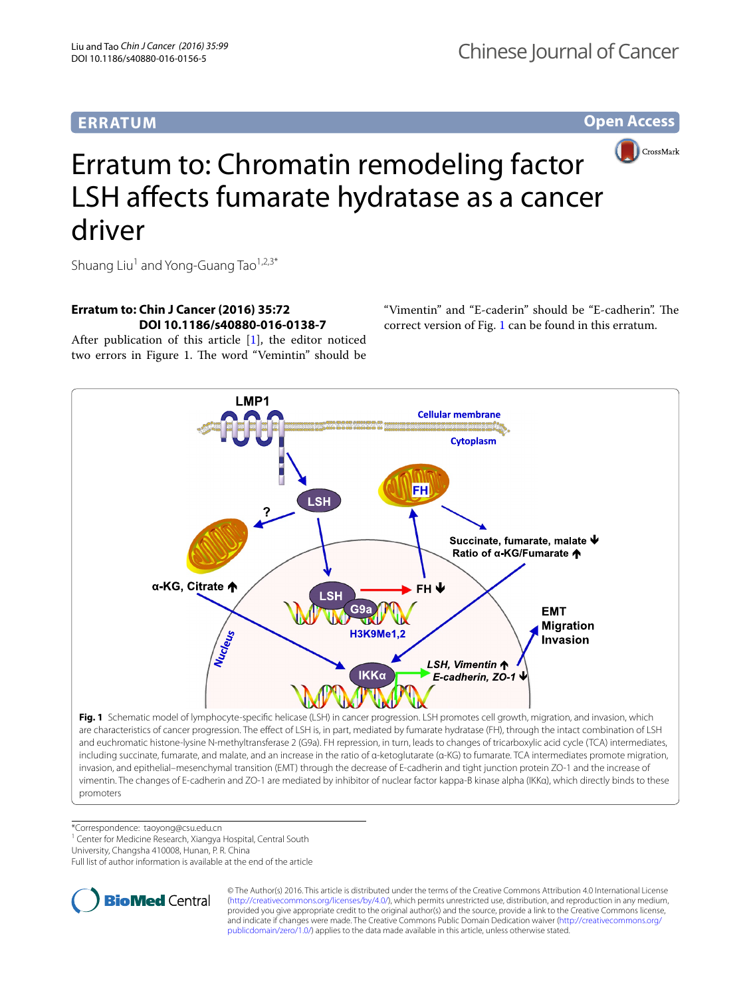## **ERRATUM**

**Open Access**



# Erratum to: Chromatin remodeling factor LSH affects fumarate hydratase as a cancer driver

Shuang Liu<sup>1</sup> and Yong-Guang Tao<sup>1,2,3\*</sup>

## **Erratum to: Chin J Cancer (2016) 35:72 DOI 10.1186/s40880‑016‑0138‑7**

After publication of this article [[1](#page-1-0)], the editor noticed two errors in Figure 1. The word "Vemintin" should be

"Vimentin" and "E-caderin" should be "E-cadherin". The correct version of Fig. [1](#page-0-0) can be found in this erratum.



<span id="page-0-0"></span>\*Correspondence: taoyong@csu.edu.cn

<sup>1</sup> Center for Medicine Research, Xiangya Hospital, Central South

University, Changsha 410008, Hunan, P. R. China

Full list of author information is available at the end of the article



© The Author(s) 2016. This article is distributed under the terms of the Creative Commons Attribution 4.0 International License [\(http://creativecommons.org/licenses/by/4.0/\)](http://creativecommons.org/licenses/by/4.0/), which permits unrestricted use, distribution, and reproduction in any medium, provided you give appropriate credit to the original author(s) and the source, provide a link to the Creative Commons license, and indicate if changes were made. The Creative Commons Public Domain Dedication waiver ([http://creativecommons.org/](http://creativecommons.org/publicdomain/zero/1.0/) [publicdomain/zero/1.0/](http://creativecommons.org/publicdomain/zero/1.0/)) applies to the data made available in this article, unless otherwise stated.